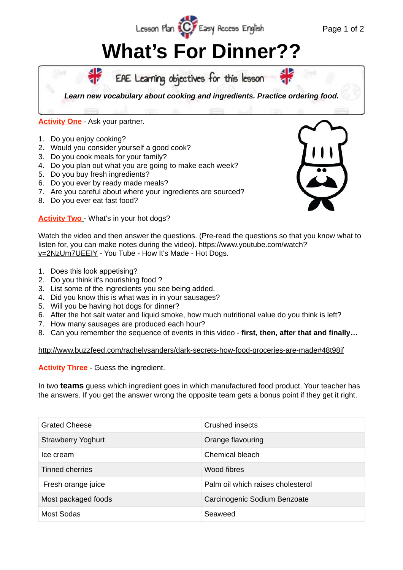## **What's For Dinner??**

Lesson Plan (C) Easy Access English



## **Activity One** - Ask your partner.

- 1. Do you enjoy cooking?
- 2. Would you consider yourself a good cook?
- 3. Do you cook meals for your family?
- 4. Do you plan out what you are going to make each week?
- 5. Do you buy fresh ingredients?
- 6. Do you ever by ready made meals?
- 7. Are you careful about where your ingredients are sourced?
- 8. Do you ever eat fast food?

**Activity Two** - What's in your hot dogs?



Page 1 of 2

Watch the video and then answer the questions. (Pre-read the questions so that you know what to [listen for, you can make notes during the video\). https://www.youtube.com/watch?](https://www.youtube.com/watch?v=2NzUm7UEEIY) v=2NzUm7UEEIY - You Tube - How It's Made - Hot Dogs.

- 1. Does this look appetising?
- 2. Do you think it's nourishing food ?
- 3. List some of the ingredients you see being added.
- 4. Did you know this is what was in in your sausages?
- 5. Will you be having hot dogs for dinner?
- 6. After the hot salt water and liquid smoke, how much nutritional value do you think is left?
- 7. How many sausages are produced each hour?
- 8. Can you remember the sequence of events in this video - **first, then, after that and finally…**

<http://www.buzzfeed.com/rachelysanders/dark-secrets-how-food-groceries-are-made#48t98jf>

**Activity Three** - Guess the ingredient.

In two **teams** guess which ingredient goes in which manufactured food product. Your teacher has the answers. If you get the answer wrong the opposite team gets a bonus point if they get it right.

| <b>Grated Cheese</b>      | Crushed insects                   |
|---------------------------|-----------------------------------|
| <b>Strawberry Yoghurt</b> | Orange flavouring                 |
| Ice cream                 | Chemical bleach                   |
| Tinned cherries           | Wood fibres                       |
| Fresh orange juice        | Palm oil which raises cholesterol |
| Most packaged foods       | Carcinogenic Sodium Benzoate      |
| Most Sodas                | Seaweed                           |